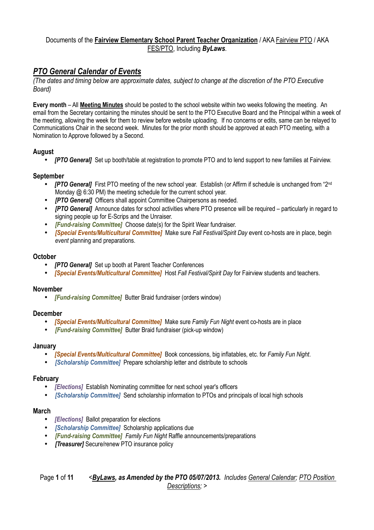# *PTO General Calendar of Events*

*(The dates and timing below are approximate dates, subject to change at the discretion of the PTO Executive Board)*

**Every month** – All **Meeting Minutes** should be posted to the school website within two weeks following the meeting. An email from the Secretary containing the minutes should be sent to the PTO Executive Board and the Principal within a week of the meeting, allowing the week for them to review before website uploading. If no concerns or edits, same can be relayed to Communications Chair in the second week. Minutes for the prior month should be approved at each PTO meeting, with a Nomination to Approve followed by a Second.

#### **August**

• *[PTO General]* Set up booth/table at registration to promote PTO and to lend support to new families at Fairview.

#### **September**

- *[PTO General]* First PTO meeting of the new school year. Establish (or Affirm if schedule is unchanged from "2<sup>nd</sup> Monday @ 6:30 PM) the meeting schedule for the current school year.
- *IPTO Generall* Officers shall appoint Committee Chairpersons as needed.
- *[PTO General]* Announce dates for school activities where PTO presence will be required particularly in regard to signing people up for E-Scrips and the Unraiser.
- *[Fund-raising Committee]* Choose date(s) for the Spirit Wear fundraiser.
- *[Special Events/Multicultural Committee]* Make sure *Fall Festival/Spirit Day* event co-hosts are in place, begin *event* planning and preparations.

#### **October**

- *[PTO General]* Set up booth at Parent Teacher Conferences
- *[Special Events/Multicultural Committee]* Host *Fall Festival/Spirit Day* for Fairview students and teachers.

#### **November**

• *[Fund-raising Committee]* Butter Braid fundraiser (orders window)

#### **December**

- *[Special Events/Multicultural Committee]* Make sure *Family Fun Night* event co-hosts are in place
- *[Fund-raising Committee]* Butter Braid fundraiser (pick-up window)

#### **January**

- *[Special Events/Multicultural Committee]* Book concessions, big inflatables, etc. for *Family Fun Night*.
- *[Scholarship Committee]* Prepare scholarship letter and distribute to schools

#### **February**

- *[Elections]* Establish Nominating committee for next school year's officers
- *[Scholarship Committee]* Send scholarship information to PTOs and principals of local high schools

#### **March**

- *[Elections]* Ballot preparation for elections
- *[Scholarship Committee]* Scholarship applications due
- *[Fund-raising Committee] Family Fun Night* Raffle announcements/preparations
- *[Treasurer]* Secure/renew PTO insurance policy

#### Page **1** of **11** *<ByLaws, as Amended by the PTO 05/07/2013. Includes General Calendar; PTO Position Descriptions; >*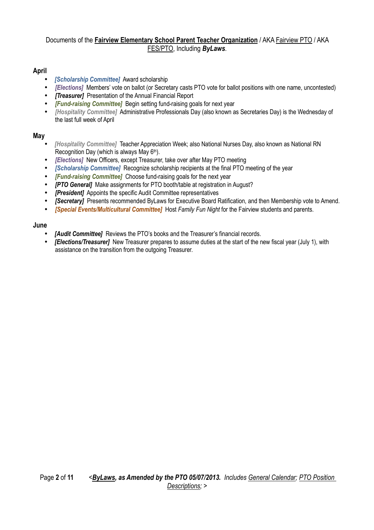## **April**

- *[Scholarship Committee]* Award scholarship
- *[Elections]* Members' vote on ballot (or Secretary casts PTO vote for ballot positions with one name, uncontested)
- *[Treasurer]* Presentation of the Annual Financial Report
- *[Fund-raising Committee]* Begin setting fund-raising goals for next year
- *[Hospitality Committee]* Administrative Professionals Day (also known as Secretaries Day) is the Wednesday of the last full week of April

#### **May**

- *[Hospitality Committee]* Teacher Appreciation Week; also National Nurses Day, also known as National RN Recognition Day (which is always May 6<sup>th</sup>).
- *[Elections]* New Officers, except Treasurer, take over after May PTO meeting
- *[Scholarship Committee]* Recognize scholarship recipients at the final PTO meeting of the year
- *[Fund-raising Committee]* Choose fund-raising goals for the next year
- *[PTO General]* Make assignments for PTO booth/table at registration in August?
- *[President]* Appoints the specific Audit Committee representatives
- *[Secretary]* Presents recommended ByLaws for Executive Board Ratification, and then Membership vote to Amend.
- *[Special Events/Multicultural Committee]* Host *Family Fun Night* for the Fairview students and parents.

#### **June**

- **[Audit Committee]** Reviews the PTO's books and the Treasurer's financial records.
- *[Elections/Treasurer]*New Treasurer prepares to assume duties at the start of the new fiscal year (July 1), with assistance on the transition from the outgoing Treasurer.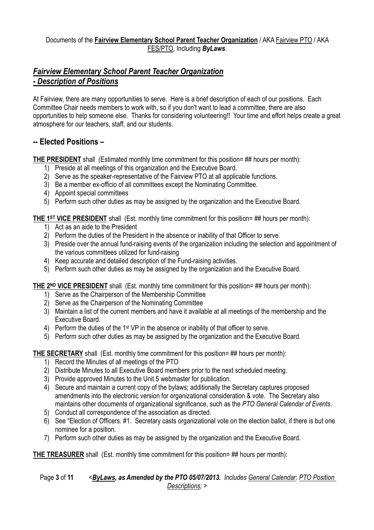# *Fairview Elementary School Parent Teacher Organization - Description of Positions*

At Fairview, there are many opportunities to serve. Here is a brief description of each of our positions. Each Committee Chair needs members to work with, so if you don't want to lead a committee, there are also opportunities to help someone else. Thanks for considering volunteering!! Your time and effort helps create a great atmosphere for our teachers, staff, and our students.

## **-- Elected Positions –**

**THE PRESIDENT** shall (Estimated monthly time commitment for this position= ## hours per month):

- 1) Preside at all meetings of this organization and the Executive Board.
- 2) Serve as the speaker-representative of the Fairview PTO at all applicable functions.
- 3) Be a member ex-officio of all committees except the Nominating Committee.
- 4) Appoint special committees
- 5) Perform such other duties as may be assigned by the organization and the Executive Board.

## **THE 1ST VICE PRESIDENT** shall (Est. monthly time commitment for this position= ## hours per month):

- 1) Act as an aide to the President
- 2) Perform the duties of the President in the absence or inability of that Officer to serve.
- 3) Preside over the annual fund-raising events of the organization including the selection and appointment of the various committees utilized for fund-raising
- 4) Keep accurate and detailed description of the Fund-raising activities.
- 5) Perform such other duties as may be assigned by the organization and the Executive Board.

## **THE 2ND VICE PRESIDENT** shall (Est. monthly time commitment for this position= ## hours per month):

- 1) Serve as the Chairperson of the Membership Committee
- 2) Serve as the Chairperson of the Nominating Committee
- 3) Maintain a list of the current members and have it available at all meetings of the membership and the Executive Board.
- 4) Perform the duties of the 1st VP in the absence or inability of that officer to serve.
- 5) Perform such other duties as may be assigned by the organization and the Executive Board.

## **THE SECRETARY** shall (Est. monthly time commitment for this position= ## hours per month):

- 1) Record the Minutes of all meetings of the PTO
- 2) Distribute Minutes to all Executive Board members prior to the next scheduled meeting.
- 3) Provide approved Minutes to the Unit 5 webmaster for publication.
- 4) Secure and maintain a current copy of the bylaws; additionally the Secretary captures proposed amendments into the electronic version for organizational consideration & vote. The Secretary also maintains other documents of organizational significance, such as the *PTO General Calendar of Events*.
- 5) Conduct all correspondence of the association as directed.
- 6) See "Election of Officers. #1. Secretary casts organizational vote on the election ballot, if there is but one nominee for a position.
- 7) Perform such other duties as may be assigned by the organization and the Executive Board.

**THE TREASURER** shall (Est. monthly time commitment for this position= ## hours per month):

## Page **3** of **11** *<ByLaws, as Amended by the PTO 05/07/2013. Includes General Calendar; PTO Position Descriptions; >*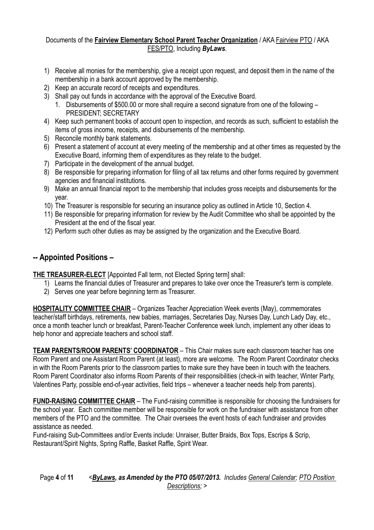- 1) Receive all monies for the membership, give a receipt upon request, and deposit them in the name of the membership in a bank account approved by the membership.
- 2) Keep an accurate record of receipts and expenditures.
- 3) Shall pay out funds in accordance with the approval of the Executive Board.
	- 1. Disbursements of \$500.00 or more shall require a second signature from one of the following PRESIDENT; SECRETARY
- 4) Keep such permanent books of account open to inspection, and records as such, sufficient to establish the items of gross income, receipts, and disbursements of the membership.
- 5) Reconcile monthly bank statements.
- 6) Present a statement of account at every meeting of the membership and at other times as requested by the Executive Board, informing them of expenditures as they relate to the budget.
- 7) Participate in the development of the annual budget.
- 8) Be responsible for preparing information for filing of all tax returns and other forms required by government agencies and financial institutions.
- 9) Make an annual financial report to the membership that includes gross receipts and disbursements for the year.
- 10) The Treasurer is responsible for securing an insurance policy as outlined in Article 10, Section 4.
- 11) Be responsible for preparing information for review by the Audit Committee who shall be appointed by the President at the end of the fiscal year.
- 12) Perform such other duties as may be assigned by the organization and the Executive Board.

# **-- Appointed Positions –**

**THE TREASURER-ELECT** [Appointed Fall term, not Elected Spring term] shall:

- 1) Learns the financial duties of Treasurer and prepares to take over once the Treasurer's term is complete.
- 2) Serves one year before beginning term as Treasurer.

**HOSPITALITY COMMITTEE CHAIR** – Organizes Teacher Appreciation Week events (May), commemorates teacher/staff birthdays, retirements, new babies, marriages, Secretaries Day, Nurses Day, Lunch Lady Day, etc., once a month teacher lunch or breakfast, Parent-Teacher Conference week lunch, implement any other ideas to help honor and appreciate teachers and school staff.

**TEAM PARENTS/ROOM PARENTS' COORDINATOR** – This Chair makes sure each classroom teacher has one Room Parent and one Assistant Room Parent (at least), more are welcome. The Room Parent Coordinator checks in with the Room Parents prior to the classroom parties to make sure they have been in touch with the teachers. Room Parent Coordinator also informs Room Parents of their responsibilities (check-in with teacher, Winter Party, Valentines Party, possible end-of-year activities, field trips – whenever a teacher needs help from parents).

**FUND-RAISING COMMITTEE CHAIR** – The Fund-raising committee is responsible for choosing the fundraisers for the school year. Each committee member will be responsible for work on the fundraiser with assistance from other members of the PTO and the committee. The Chair oversees the event hosts of each fundraiser and provides assistance as needed.

Fund-raising Sub-Committees and/or Events include: Unraiser, Butter Braids, Box Tops, Escrips & Scrip, Restaurant/Spirit Nights, Spring Raffle, Basket Raffle, Spirit Wear.

Page **4** of **11** *<ByLaws, as Amended by the PTO 05/07/2013. Includes General Calendar; PTO Position Descriptions; >*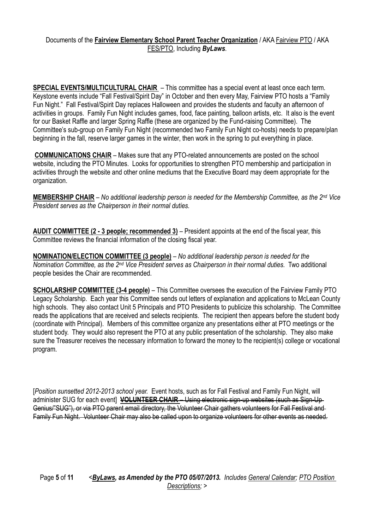**SPECIAL EVENTS/MULTICULTURAL CHAIR** – This committee has a special event at least once each term. Keystone events include "Fall Festival/Spirit Day" in October and then every May, Fairview PTO hosts a "Family Fun Night." Fall Festival/Spirit Day replaces Halloween and provides the students and faculty an afternoon of activities in groups. Family Fun Night includes games, food, face painting, balloon artists, etc. It also is the event for our Basket Raffle and larger Spring Raffle (these are organized by the Fund-raising Committee). The Committee's sub-group on Family Fun Night (recommended two Family Fun Night co-hosts) needs to prepare/plan beginning in the fall, reserve larger games in the winter, then work in the spring to put everything in place.

**COMMUNICATIONS CHAIR** – Makes sure that any PTO-related announcements are posted on the school website, including the PTO Minutes. Looks for opportunities to strengthen PTO membership and participation in activities through the website and other online mediums that the Executive Board may deem appropriate for the organization.

**MEMBERSHIP CHAIR** – *No additional leadership person is needed for the Membership Committee, as the 2nd Vice President serves as the Chairperson in their normal duties.* 

**AUDIT COMMITTEE (2 - 3 people; recommended 3)** – President appoints at the end of the fiscal year, this Committee reviews the financial information of the closing fiscal year.

**NOMINATION/ELECTION COMMITTEE (3 people)** *– No additional leadership person is needed for the Nomination Committee, as the 2nd Vice President serves as Chairperson in their normal duties.* Two additional people besides the Chair are recommended.

**SCHOLARSHIP COMMITTEE (3-4 people)** – This Committee oversees the execution of the Fairview Family PTO Legacy Scholarship. Each year this Committee sends out letters of explanation and applications to McLean County high schools. They also contact Unit 5 Principals and PTO Presidents to publicize this scholarship. The Committee reads the applications that are received and selects recipients. The recipient then appears before the student body (coordinate with Principal). Members of this committee organize any presentations either at PTO meetings or the student body. They would also represent the PTO at any public presentation of the scholarship. They also make sure the Treasurer receives the necessary information to forward the money to the recipient(s) college or vocational program.

[*Position sunsetted 2012-2013 school year.* Event hosts, such as for Fall Festival and Family Fun Night, will administer SUG for each event] **VOLUNTEER CHAIR** - Using electronic sign-up websites (such as Sign-Up-Genius/"SUG"), or via PTO parent email directory, the Volunteer Chair gathers volunteers for Fall Festival and Family Fun Night. Volunteer Chair may also be called upon to organize volunteers for other events as needed.

Page **5** of **11** *<ByLaws, as Amended by the PTO 05/07/2013. Includes General Calendar; PTO Position Descriptions; >*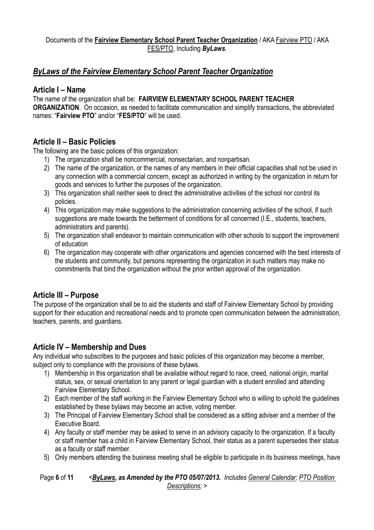## *ByLaws of the Fairview Elementary School Parent Teacher Organization*

## **Article I – Name**

The name of the organization shall be: **FAIRVIEW ELEMENTARY SCHOOL PARENT TEACHER ORGANIZATION.** On occasion, as needed to facilitate communication and simplify transactions, the abbreviated names: "**Fairview PTO**" and/or "**FES/PTO**" will be used.

## **Article II – Basic Policies**

The following are the basic polices of this organization:

- 1) The organization shall be noncommercial, nonsectarian, and nonpartisan.
- 2) The name of the organization, or the names of any members in their official capacities shall not be used in any connection with a commercial concern, except as authorized in writing by the organization in return for goods and services to further the purposes of the organization.
- 3) This organization shall neither seek to direct the administrative activities of the school nor control its policies.
- 4) This organization may make suggestions to the administration concerning activities of the school, if such suggestions are made towards the betterment of conditions for all concerned (I.E., students, teachers, administrators and parents).
- 5) The organization shall endeavor to maintain communication with other schools to support the improvement of education
- 6) The organization may cooperate with other organizations and agencies concerned with the best interests of the students and community, but persons representing the organization in such matters may make no commitments that bind the organization without the prior written approval of the organization.

## **Article III – Purpose**

The purpose of the organization shall be to aid the students and staff of Fairview Elementary School by providing support for their education and recreational needs and to promote open communication between the administration, teachers, parents, and guardians.

## **Article IV – Membership and Dues**

Any individual who subscribes to the purposes and basic policies of this organization may become a member, subject only to compliance with the provisions of these bylaws.

- 1) Membership in this organization shall be available without regard to race, creed, national origin, marital status, sex, or sexual orientation to any parent or legal guardian with a student enrolled and attending Fairview Elementary School.
- 2) Each member of the staff working in the Fairview Elementary School who is willing to uphold the guidelines established by these bylaws may become an active, voting member.
- 3) The Principal of Fairview Elementary School shall be considered as a sitting adviser and a member of the Executive Board.
- 4) Any faculty or staff member may be asked to serve in an advisory capacity to the organization. If a faculty or staff member has a child in Fairview Elementary School, their status as a parent supersedes their status as a faculty or staff member.
- 5) Only members attending the business meeting shall be eligible to participate in its business meetings, have

Page **6** of **11** *<ByLaws, as Amended by the PTO 05/07/2013. Includes General Calendar; PTO Position Descriptions; >*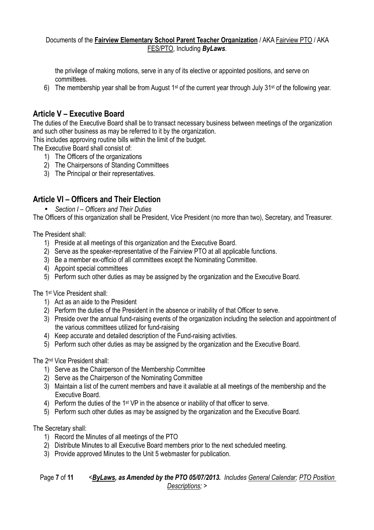the privilege of making motions, serve in any of its elective or appointed positions, and serve on committees.

6) The membership year shall be from August 1st of the current year through July 31st of the following year.

## **Article V – Executive Board**

The duties of the Executive Board shall be to transact necessary business between meetings of the organization and such other business as may be referred to it by the organization.

This includes approving routine bills within the limit of the budget.

The Executive Board shall consist of:

- 1) The Officers of the organizations
- 2) The Chairpersons of Standing Committees
- 3) The Principal or their representatives.

## **Article VI – Officers and Their Election**

• *Section I – Officers and Their Duties*

The Officers of this organization shall be President, Vice President (no more than two), Secretary, and Treasurer.

The President shall:

- 1) Preside at all meetings of this organization and the Executive Board.
- 2) Serve as the speaker-representative of the Fairview PTO at all applicable functions.
- 3) Be a member ex-officio of all committees except the Nominating Committee.
- 4) Appoint special committees
- 5) Perform such other duties as may be assigned by the organization and the Executive Board.

The 1st Vice President shall:

- 1) Act as an aide to the President
- 2) Perform the duties of the President in the absence or inability of that Officer to serve.
- 3) Preside over the annual fund-raising events of the organization including the selection and appointment of the various committees utilized for fund-raising
- 4) Keep accurate and detailed description of the Fund-raising activities.
- 5) Perform such other duties as may be assigned by the organization and the Executive Board.

The 2nd Vice President shall:

- 1) Serve as the Chairperson of the Membership Committee
- 2) Serve as the Chairperson of the Nominating Committee
- 3) Maintain a list of the current members and have it available at all meetings of the membership and the Executive Board.
- 4) Perform the duties of the 1st VP in the absence or inability of that officer to serve.
- 5) Perform such other duties as may be assigned by the organization and the Executive Board.

The Secretary shall:

- 1) Record the Minutes of all meetings of the PTO
- 2) Distribute Minutes to all Executive Board members prior to the next scheduled meeting.
- 3) Provide approved Minutes to the Unit 5 webmaster for publication.

Page **7** of **11** *<ByLaws, as Amended by the PTO 05/07/2013. Includes General Calendar; PTO Position Descriptions; >*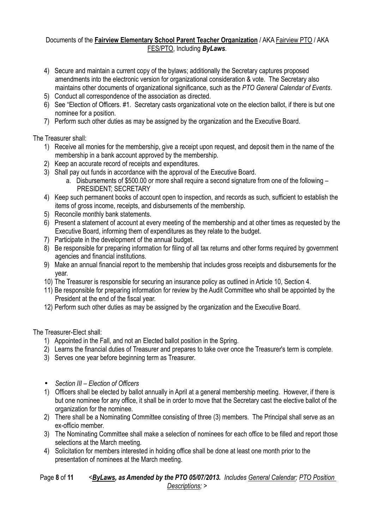- 4) Secure and maintain a current copy of the bylaws; additionally the Secretary captures proposed amendments into the electronic version for organizational consideration & vote. The Secretary also maintains other documents of organizational significance, such as the *PTO General Calendar of Events*.
- 5) Conduct all correspondence of the association as directed.
- 6) See "Election of Officers. #1. Secretary casts organizational vote on the election ballot, if there is but one nominee for a position.
- 7) Perform such other duties as may be assigned by the organization and the Executive Board.

The Treasurer shall:

- 1) Receive all monies for the membership, give a receipt upon request, and deposit them in the name of the membership in a bank account approved by the membership.
- 2) Keep an accurate record of receipts and expenditures.
- 3) Shall pay out funds in accordance with the approval of the Executive Board.
	- a. Disbursements of \$500.00 or more shall require a second signature from one of the following PRESIDENT; SECRETARY
- 4) Keep such permanent books of account open to inspection, and records as such, sufficient to establish the items of gross income, receipts, and disbursements of the membership.
- 5) Reconcile monthly bank statements.
- 6) Present a statement of account at every meeting of the membership and at other times as requested by the Executive Board, informing them of expenditures as they relate to the budget.
- 7) Participate in the development of the annual budget.
- 8) Be responsible for preparing information for filing of all tax returns and other forms required by government agencies and financial institutions.
- 9) Make an annual financial report to the membership that includes gross receipts and disbursements for the year.
- 10) The Treasurer is responsible for securing an insurance policy as outlined in Article 10, Section 4.
- 11) Be responsible for preparing information for review by the Audit Committee who shall be appointed by the President at the end of the fiscal year.
- 12) Perform such other duties as may be assigned by the organization and the Executive Board.

The Treasurer-Elect shall:

- 1) Appointed in the Fall, and not an Elected ballot position in the Spring.
- 2) Learns the financial duties of Treasurer and prepares to take over once the Treasurer's term is complete.
- 3) Serves one year before beginning term as Treasurer.
- *Section III Election of Officers*
- 1) Officers shall be elected by ballot annually in April at a general membership meeting. However, if there is but one nominee for any office, it shall be in order to move that the Secretary cast the elective ballot of the organization for the nominee.
- 2) There shall be a Nominating Committee consisting of three (3) members. The Principal shall serve as an ex-officio member.
- 3) The Nominating Committee shall make a selection of nominees for each office to be filled and report those selections at the March meeting.
- 4) Solicitation for members interested in holding office shall be done at least one month prior to the presentation of nominees at the March meeting.

## Page **8** of **11** *<ByLaws, as Amended by the PTO 05/07/2013. Includes General Calendar; PTO Position Descriptions; >*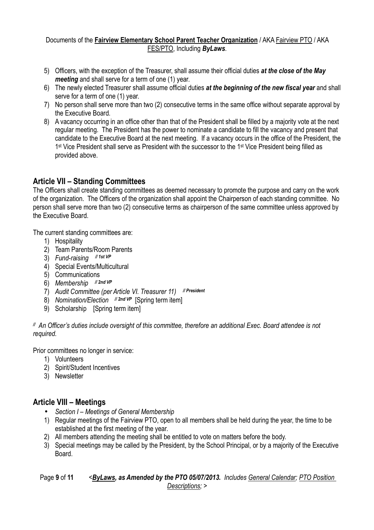- 5) Officers, with the exception of the Treasurer, shall assume their official duties *at the close of the May meeting* and shall serve for a term of one (1) year.
- 6) The newly elected Treasurer shall assume official duties *at the beginning of the new fiscal year* and shall serve for a term of one (1) year.
- 7) No person shall serve more than two (2) consecutive terms in the same office without separate approval by the Executive Board.
- 8) A vacancy occurring in an office other than that of the President shall be filled by a majority vote at the next regular meeting. The President has the power to nominate a candidate to fill the vacancy and present that candidate to the Executive Board at the next meeting. If a vacancy occurs in the office of the President, the 1<sup>st</sup> Vice President shall serve as President with the successor to the 1<sup>st</sup> Vice President being filled as provided above.

# **Article VII – Standing Committees**

The Officers shall create standing committees as deemed necessary to promote the purpose and carry on the work of the organization. The Officers of the organization shall appoint the Chairperson of each standing committee. No person shall serve more than two (2) consecutive terms as chairperson of the same committee unless approved by the Executive Board.

The current standing committees are:

- 1) Hospitality
- 2) Team Parents/Room Parents
- 3) *Fund-raising // 1st VP*
- 4) Special Events/Multicultural
- 5) Communications
- 6) *Membership // 2nd VP*
- 7) *Audit Committee (per Article VI. Treasurer 11) // President*
- 8) Nomination/Election // 2nd VP [Spring term item]
- 9) Scholarship [Spring term item]

*// An Officer's duties include oversight of this committee, therefore an additional Exec. Board attendee is not required.* 

Prior committees no longer in service:

- 1) Volunteers
- 2) Spirit/Student Incentives
- 3) Newsletter

# **Article VIII – Meetings**

- *Section I Meetings of General Membership*
- 1) Regular meetings of the Fairview PTO, open to all members shall be held during the year, the time to be established at the first meeting of the year.
- 2) All members attending the meeting shall be entitled to vote on matters before the body.
- 3) Special meetings may be called by the President, by the School Principal, or by a majority of the Executive Board.

Page **9** of **11** *<ByLaws, as Amended by the PTO 05/07/2013. Includes General Calendar; PTO Position Descriptions; >*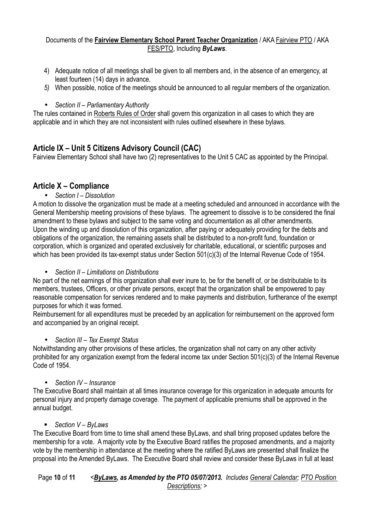- 4) Adequate notice of all meetings shall be given to all members and, in the absence of an emergency, at least fourteen (14) days in advance.
- *5)* When possible, notice of the meetings should be announced to all regular members of the organization.

• *Section II – Parliamentary Authority*

The rules contained in Roberts Rules of Order shall govern this organization in all cases to which they are applicable and in which they are not inconsistent with rules outlined elsewhere in these bylaws.

# **Article IX – Unit 5 Citizens Advisory Council (CAC)**

Fairview Elementary School shall have two (2) representatives to the Unit 5 CAC as appointed by the Principal.

## **Article X – Compliance**

• *Section I – Dissolution*

A motion to dissolve the organization must be made at a meeting scheduled and announced in accordance with the General Membership meeting provisions of these bylaws. The agreement to dissolve is to be considered the final amendment to these bylaws and subject to the same voting and documentation as all other amendments. Upon the winding up and dissolution of this organization, after paying or adequately providing for the debts and obligations of the organization, the remaining assets shall be distributed to a non-profit fund, foundation or corporation, which is organized and operated exclusively for charitable, educational, or scientific purposes and which has been provided its tax-exempt status under Section 501(c)(3) of the Internal Revenue Code of 1954.

• *Section II – Limitations on Distributions*

No part of the net earnings of this organization shall ever inure to, be for the benefit of, or be distributable to its members, trustees, Officers, or other private persons, except that the organization shall be empowered to pay reasonable compensation for services rendered and to make payments and distribution, furtherance of the exempt purposes for which it was formed.

Reimbursement for all expenditures must be preceded by an application for reimbursement on the approved form and accompanied by an original receipt.

## • *Section III – Tax Exempt Status*

Notwithstanding any other provisions of these articles, the organization shall not carry on any other activity prohibited for any organization exempt from the federal income tax under Section 501(c)(3) of the Internal Revenue Code of 1954.

## • *Section IV – Insurance*

The Executive Board shall maintain at all times insurance coverage for this organization in adequate amounts for personal injury and property damage coverage. The payment of applicable premiums shall be approved in the annual budget.

## *Section V – ByLaws*

The Executive Board from time to time shall amend these ByLaws, and shall bring proposed updates before the membership for a vote. A majority vote by the Executive Board ratifies the proposed amendments, and a majority vote by the membership in attendance at the meeting where the ratified ByLaws are presented shall finalize the proposal into the Amended ByLaws. The Executive Board shall review and consider these ByLaws in full at least

## Page **10** of **11** *<ByLaws, as Amended by the PTO 05/07/2013. Includes General Calendar; PTO Position Descriptions; >*